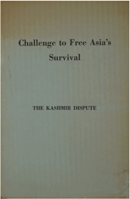# **Challenge to Free Asia's Survival**

**THE** KASHMIR **DISPUTE**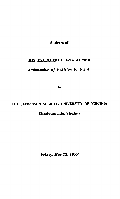**Address of** 

# **HIS EXCELLENCY AZIZ AHMED**

# *Amhaador* **of** *Pakistan* **to** *U.S.A.*

to

# **THE JEFFERSON SOCIETY, UNIVERSITY OF VIRGINIA**

# **Charlotteeville, Virginia**

*Friday, May* **22,1959**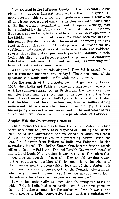I am grateful to the Jefferson Society for the opportunity it has given me to address this gathering on the Kashmir dispute. **TO**  many people in this country, this dispute may seem a somewhat distant issue, preoccupied currently as they are with issues such as Berlin, German re-unification and European security, now being debated by the Four-Power Foreign Ministers in Geneva. But peace, as you know, is indivisible, and recent developments in the Middle East and in Tibet have spot-lighted both the dangers inherent in this dispute as also the necessity of finding an early solution for it. A solution of this dispute would provide the key to friendly and cooperative relations between India and Pakistan, so essential at this critical juncture to peace and stability in Asia. Today this dispute is a festering sore that poisons and embitters Indo-Pakistan relations. If it is not removed, Kashmir may well become the Alsace-Lorraine of Asia.

What is the nature of this dispute? How did it arise? Why has it remained unsolved until today? These are some of the questions you would undoubtedly wish me to answer.

For the genesis of this dispute, we must go back to August **1947,** when India and Pakistan came into independent existence with the common consent of the British and the two major communities inhabiting the subcontinent, the Hindus and the Muslims. It was then recognized, both by the British and the Hindus, that the Muslims of the subcontinent-a hundred million strong -were entitled to a separate homeland. Accordingly, the Muslim majority areas in the north-west and in the south-east of the subcontinent were carved out into a separate state of Pakistan.

# *Peoples Will the Determining Criterion*

The question then arose as to how the Indian States, of which there were some 550, were to be disposed of. During the British rule, the British Government had exercised suzerainty over these States and the prerogatives of a protecting power. With the transfer of power from Britain to India and Pakistan, British suzerainty lapsed. The Indian States thus became free to accede either to India or Pakistan. The last British Governor-General of India, Lord Louis Mountbatten, however, advised the rulers that in deciding the question of accession they should pay due regard to the religious composition of their populations, the wishes of their peoples and the geographical location of their States. He told them : "You cannot run away from the Dominion Government which is your neighbor, any more than you can run away from the subjects for whose welfare you are responsible."

It was thus universally assumed that, following the basis on which British India had been partitioned, States contiguous to India and having a population the majority of which was Hindu would accede to India; conversely, States with a population the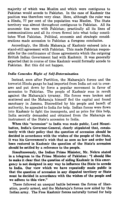majority of which was Muslim and which were contiguous to Pakistan would accede to Pakistan. In the case of Kashmir the position was therefore very clear. Here, although the ruler was a Hindu, 77 per cent of the population was Muslim. The State territory was almost throughout contiguous to Pakistan. All its economic ties were with Pakistan; practically all its lines of communications and all its rivers flowed into what today constitutes West Pakistan. Political, economic and strategic considerations made accession to Pakistan a foregone conclusion.

Accordingly, the Hindu Maharaja of Kashmir entered into a stand-still agreement with Pakistan. This made Pakistan responsible for the continuance of those agreements which the outgoing British Indian Government had with Kashmir. It was generally expected that in course of time Kashmir would formally accede to Pakistan. But this did not happen.

# lndia Concedes Right of Self-Determination

Instead, soon after Partition, the Maharaja's forces and the terrorist Hindu gangs he had imported from India set out to overawe and put down by force a popular movement in favor of accession to Pakistan. The people of Kashmir rose in revolt against the Maharaja's tyranny. His forces were broken and scattered and the Maharaja himself fled the capital and found sanctuary in Jammu. Discredited by his people and bereft of authority, he appealed to India for help. Indian forces were flown into Kashmir to fight the insurgents, and as price for this help, India secretly demanded and obtained from the Maharaja an instrument of the State's accession to India.

When this "accession" to India was made public, Lord Mountbatten, India's Governor-General, clearly stipulated that, consistently with their policy that the question of accession should be decided in accordance with the wishes of the people of the State, it was his Government's wish that as soon as law and order had been restored in Kashmir the question of the State's accession should be settled by a reference to the people.

Simultaneously, the Indian Prime Minister, Mr. Nehru stated in a telegram to the Prime Minister of Pakistan: "I should like to make it clear that the question of aiding Kashmir in this emergency is not designed in any way to influence the State to accede to India. Our view which we have repeatedly made public is that the question of accession in any disputed territory or State must be decided in accordance with the wishes of the people and we adhere to this view."

There followed an unequal battle between the forces of liberation, poorly armed, and the Maharaja's forces now aided by the Indian army. The Free Kashmir forces naturally turned for help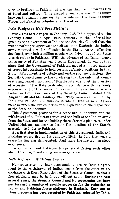to their brethren in Pakistan with whom they had numerous ties of blood and culture. Thus ensued a veritable war in Kashmir between the Indian army on the one side and the Free Kashmir Forces and Pakistan volunteers on the other.

### *lndia Pledges to Hold Free Plebiscite*

While this battle raged, in January 1948, India appealed to the Security Council. In April 1948, contrary to the undertaking given by the Government of India to the Security Council that she will do nothing to aggravate the situation in Kashmir, the Indian army mounted a major offensive in the State. As the offensive developed, over half a million people were driven out of the State to seek refuge in Pakistan. With the advance of the Indian army, the security of Pakistan was directly threatened. It was at that stage that the Government of Pakistan moved a limited number of troops into Kashmir to hold certain defensive positions in that State. After months of debate and on-the-spot negotiations, the Security Council came to the conclusion that the only just, democratic and peaceful solution of this dispute was to let the question of accession of the State be decided in accordance with the freely expressed will of the people of Kashmir. This conclusion is embodied in two Resolutions of the Security Council, dated 13th August 1948 and 5th January 1949. They were accepted both by India and Pakistan and thus constitute an International Agreement between the two countries on the question of the disposition of the State of Kashmir.

This Agreement provides for a cease-fire in Kashmir, for the withdrawal of all Pakistan forces and the bulk of the Indian army from the State, and for the holding thereafter of **a** plebiscite under United Nations' auspices to decide the question of the State's accession to India or Pakistan.

**As** a first step in implementation of this Agreement, India and Pakistan ceased fire on 1st January, 1949. In July that year **a**  cease-fire line was demarcated. And there the matter has stood ever since.

Today Indian and Pakistan troops stand facing each other along this line, maintaining an uneasy truce.

# *lndia Refurea to Withdraw Troops*

Numerous attempts have been made to secure India's agreement to the withdrawal of Indian troops from the State in accordance with those Resolutions of the Security Council so that **a**  free plebiscite may be held, but without avail. **During the past several years, the Security Council and its representatives have put forward a number of specific proposals for the reduction of Indian and Pakistan forces stationed in Kashmir. Each one of these proposals haa been accepted by Pakistan, rejected by India.**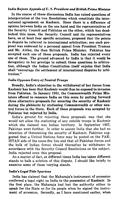#### *lndia Rejects Appeals* **of U.** *S. President and British Prime Minister*

In the course of these discussions India has raised questions of interpretation of the two Resolutions which constitute the international agreement on Kashmir. Since there is a difference of opinion between India on the one hand and the representatives of the Security Council and Pakistan on the other, which has deadlocked this issue, the Security Council and its representatives have, on at least four specific occasions, proposed that the points in dispute be referred to international arbitration; one such proposal was endorsed by a personal appeal from President Truman and Mr. Attlee, the then British Prime Minister. Pakistan has accepted each one of these proposals. India has rejected every one of them. The ground advanced by India is that it would be derogatory to her prestige to submit these questions to arbitration, although the Indian Constitution itself enjoins that India shall "encourage the settlement of international disputes by arbitration."

#### *1 ndia Opposes Entry o* **j** *Neutral Troops*

Broadly, India's objection to the withdrawal of her forces from Kashmir has been that Kashmir would thus be exposed to invasion from Pakistan. In January 1951, the Commonwealth Prime Ministers offered to reassure India on this score by putting forward three alternative proposals for ensuring the security of Kashmir during the plebiscite by stationing Commonwealth or other neutral forces in the State. Each of these proposals was accepted by Pakistan but rejected by India.

India's ground for rejecting these proposals was that she would not allow the stationing of any outside troops in Kashmir which she claimed was Indian territory. In September 1957, Pakistan went further. In order to assure India that she had no intention of threatening the security of Kashmir, Pakistan suggested that a United Nations force may be posted on the PAK-ISTAN side of the cease-fire line and that all Pakistan forces and the bulk of Indian forces should thereafter be withdrawn in accordance with the Security Council Resolutions on the subject. India rejected even this proposal.

As a matter of fact, at different times India has taken different stands to balk a solution of this dispute. I should like briefly to examine some of these varying stands.

#### *lndids Legal Title Spurious*

India has claimed that the Maharaja's instrument of accession conferred a legal right on India to the possession of Kashmir. In the first place, the Maharaja had lost the authority either to speak for the State or for its people when he signed the instrument of accession. Secondly, as I have mentioned earlier, when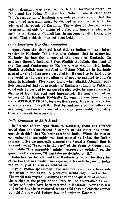this instrument was executed, both the Governor-General of India and the Prime Minister Mr. Nehru made it clear that India's occupation of Kashmir was only provisional and that the question of accession must be decided in accordance with the wishes of the people of Kashmir. The wishes of the people can be ascertained only by means of a free and impartial plebiscite such as the Security Council has, in agreement with India, proposed. That plebiscite has not been held.

## *lndia lmprisons Her Own Champion*

Apart from this doubtful legal title to Indian military intervention in Kashmir, India has also claimed that in occupying Kashmir she had the support of the people of Kashmir. In evidence thereof, India said that Shaikh Abdullah, the head of the National Conference in Kashmir, was wholly with India. Shaikh Abdullah was installed as Prime Minister in Kashmir soon after the Indian army occupied it. He used to be held up to the world as the very embodiment of popular support to India's stand in Kashmir. Five years later, when Shaikh Abdullah publicly suggested that the accession of Kashmir to India or Pakistan could only be decided by means of a plebiscite, he was summarily dismissed from his post and imprisoned. He and many other leaders of the Kashmir Plebiscite Movement have been in captivity WITHOUT TRIAL, for over five years. It is only now, after so many years of captivity, that he and some of his colleagues are being tried on some sort of a charge, presumably to justify their continued incarceration.

#### *lndia Continues to Shift Stand*

In defense of her legal claim to Kashmir, India has further urged that the Constituent Assembly of the State has subsequently decided that Kashmir accede to India. When the idea of convening this Assembly was first mooted by India, the Indian representative categorically assured the Security Council that it was not meant "to come in the way" of the Security Council and that while "the Assembly" might "express an opinion" on the question of accession, "it can take no decision on it."

India has further claimed that Kashmir is Indian territory because the Indian Constitution says **so.** I leave it to you to judge the validity of this naive contention.

Again, Indian spokesmen have said that conditions have settled down in the State. A plebiscite would only unsettle them. The world was originally assured that on the question of accession the wishes of the people of the State will be ascertained as soon as law and order have been restored in Kashmir. Now that law and order have been restored, we are told that a plebiscite cannot be held for it would disturb law and order in Kashmir.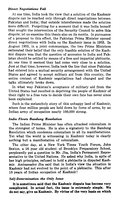#### *Direct Negotiations Fail*

.At one time, India took the view that a solution of the Kashmir dispute can be reached only through direct negotiations between Pakistan and India; that outside intereference made the solution more difficult. Forgetting for a moment that it was India herself that sought the intervention of the Security Council to solve this dispute, let us examine this thesis also on its merits. In pursuance of **a** proposal to this effect, the Pakistan Prime Minister opened direct negotiations with India on the Kashmir issue in 1953. In August **1953,** in a joint communique, the two Prime Ministers reiterated their belief that the only feasible solution of the Kashmir dispute was that the question of accession to India and Pakistan should be settled by means of a free and impartial plebiscite. At one time it seemed they had come very close to a solution. Just at that time, however, India took the line that since Pakistan had entered into a mutual security arrangement with the United States and agreed to accept military aid from this country, the entire context of Kashmir negotiations had changed and the talks ultimately broke down.

In what way Pakistan's acceptance of military aid from the United States had resulted in depriving the people of Kashmir of their right to a free vote to decide their own fate has never since been explained.

Such is the melancholy story of this unhappy land of Kashmir, where four million people are held down by force of arms, by an Indian army of occupation nearly 100,000 strong.

#### *India Flouts Bandung Resolution*

The Indian Prime Minister has often attacked colonialism in the strongest of terms. He is also **a** signatory to the Bandung Resolution which condemns colonialism in all its manifestations. Yet what the world is witnessing in Kashmir today is clearly nothing but a manifestation of colonialism.

The other day, at a New York Times Youth Forum, John Sexton, a **16** year old student of Brooklyn Preparatory School, perplexedly put a question to Mr. Jha, India's Permanent Representative to the United Nations. He asked why India, in spite of her high principles, refused to hold a plebiscite in disputed Kashmir. Ambassador Jha said that in India's view the situation in Kashmir had not evolved to the point of a plebiscite. This after 10 years of Indian occupation of Kashmir!

# *Self-Determination the* **Only** *lssue*

**It is sometimes said that the Kashmir dispute has become very**  complicated. In actual fact, the issue is extremely simple. We **do not say, give us Kashmir. By virtue of the very basis on which**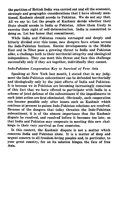the partition of British India was carried out and all the economic, strategic and geographic considerations that I have already mentioned, Kashmir should accede to Pakistan. We do not say that. All we say is: Let the people of Kashmir decide whether their State should accede to India or Pakistan. Allow them freely to exercise their right of self -determination. India is committed to doing so. Let her honor that commitment.

While India and Pakistan remain estranged and deeply and bitterly divided over this issue, new dangers have arisen across the Indo-Pakistan horizon. Recent developments in the Middle East and in Tibet pose a growing threat to India and Pakistan alike, a challenge both to their territorial integrity and ideological independence. They can meet this threat and face this challenge successfully only if they act together, individually they cannot.

# lndo-Pakistan Cooperation Key to Survival **of** Free Asia

Speaking at New York last month, I stated that in my judgment the Indo-Pakistan subcontinent can be defended territorially and ideologically only by the joint efforts of India and Pakistan. It is because we in Pakistan are becoming increasingly conscious of this fact that we have offered to participate with India in a scheme of joint defense of the subcontinent if the impediments to such joint action are first eliminated. Obviously, such cooperation can become possible only after issues such as Kashmir which continue at present to poison Indo-Pakistan relations are resolved. Because of the dangers that today threaten the Indo-Pakistan subcontinent, it is of the utmost importance that the Kashmir dispute be resolved, and resolved before it becomes too late; so that India and Pakistan may cooperate in meeting this new challenge to their very survival as free countries.

In this context, the Kashmir dispute is not a matter which concerns India and Pakistan alone. It is a matter of deep and urgent concern to all freedom-loving peoples and, in particular, to your great country, for on its solution hinges the fate of free Asia.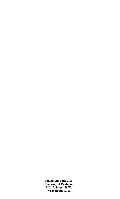**Information Division Embassy of Pakistan 2201 R Street, N.W. Washington, D. C.**